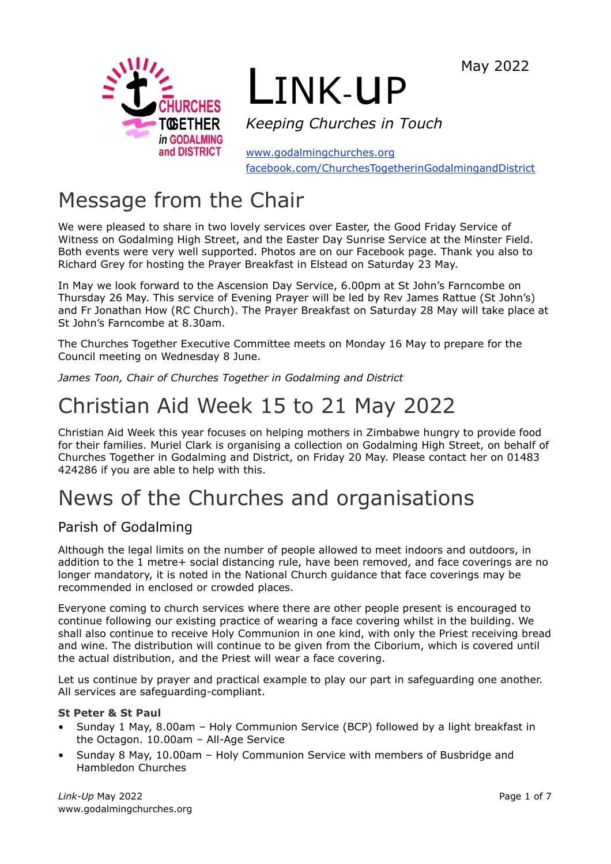

# LINK-uP

*Keeping Churches in Touch*

[www.godalmingchurches.org](http://www.godalmingchurches.org/) [facebook.com/ChurchesTogetherinGodalmingandDistrict](http://facebook.com/ChurchesTogetherinGodalmingandDistrict)

# Message from the Chair

We were pleased to share in two lovely services over Easter, the Good Friday Service of Witness on Godalming High Street, and the Easter Day Sunrise Service at the Minster Field. Both events were very well supported. Photos are on our Facebook page. Thank you also to Richard Grey for hosting the Prayer Breakfast in Elstead on Saturday 23 May.

In May we look forward to the Ascension Day Service, 6.00pm at St John's Farncombe on Thursday 26 May. This service of Evening Prayer will be led by Rev James Rattue (St John's) and Fr Jonathan How (RC Church). The Prayer Breakfast on Saturday 28 May will take place at St John's Farncombe at 8.30am.

The Churches Together Executive Committee meets on Monday 16 May to prepare for the Council meeting on Wednesday 8 June.

*James Toon, Chair of Churches Together in Godalming and District*

# Christian Aid Week 15 to 21 May 2022

Christian Aid Week this year focuses on helping mothers in Zimbabwe hungry to provide food for their families. Muriel Clark is organising a collection on Godalming High Street, on behalf of Churches Together in Godalming and District, on Friday 20 May. Please contact her on 01483 424286 if you are able to help with this.

# News of the Churches and organisations

# Parish of Godalming

Although the legal limits on the number of people allowed to meet indoors and outdoors, in addition to the 1 metre+ social distancing rule, have been removed, and face coverings are no longer mandatory, it is noted in the National Church guidance that face coverings may be recommended in enclosed or crowded places.

Everyone coming to church services where there are other people present is encouraged to continue following our existing practice of wearing a face covering whilst in the building. We shall also continue to receive Holy Communion in one kind, with only the Priest receiving bread and wine. The distribution will continue to be given from the Ciborium, which is covered until the actual distribution, and the Priest will wear a face covering.

Let us continue by prayer and practical example to play our part in safeguarding one another. All services are safeguarding-compliant.

#### **St Peter & St Paul**

- Sunday 1 May, 8.00am Holy Communion Service (BCP) followed by a light breakfast in the Octagon. 10.00am – All-Age Service
- Sunday 8 May, 10.00am Holy Communion Service with members of Busbridge and Hambledon Churches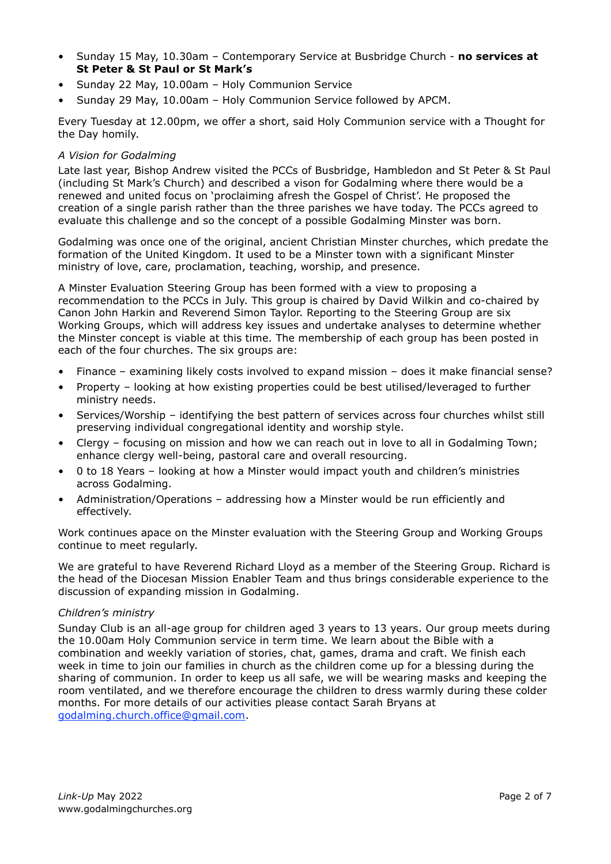- Sunday 15 May, 10.30am Contemporary Service at Busbridge Church **no services at St Peter & St Paul or St Mark's**
- Sunday 22 May, 10.00am Holy Communion Service
- Sunday 29 May, 10.00am Holy Communion Service followed by APCM.

Every Tuesday at 12.00pm, we offer a short, said Holy Communion service with a Thought for the Day homily.

#### *A Vision for Godalming*

Late last year, Bishop Andrew visited the PCCs of Busbridge, Hambledon and St Peter & St Paul (including St Mark's Church) and described a vison for Godalming where there would be a renewed and united focus on 'proclaiming afresh the Gospel of Christ'. He proposed the creation of a single parish rather than the three parishes we have today. The PCCs agreed to evaluate this challenge and so the concept of a possible Godalming Minster was born.

Godalming was once one of the original, ancient Christian Minster churches, which predate the formation of the United Kingdom. It used to be a Minster town with a significant Minster ministry of love, care, proclamation, teaching, worship, and presence.

A Minster Evaluation Steering Group has been formed with a view to proposing a recommendation to the PCCs in July. This group is chaired by David Wilkin and co-chaired by Canon John Harkin and Reverend Simon Taylor. Reporting to the Steering Group are six Working Groups, which will address key issues and undertake analyses to determine whether the Minster concept is viable at this time. The membership of each group has been posted in each of the four churches. The six groups are:

- Finance examining likely costs involved to expand mission does it make financial sense?
- Property looking at how existing properties could be best utilised/leveraged to further ministry needs.
- Services/Worship identifying the best pattern of services across four churches whilst still preserving individual congregational identity and worship style.
- Clergy focusing on mission and how we can reach out in love to all in Godalming Town; enhance clergy well-being, pastoral care and overall resourcing.
- 0 to 18 Years looking at how a Minster would impact youth and children's ministries across Godalming.
- Administration/Operations addressing how a Minster would be run efficiently and effectively.

Work continues apace on the Minster evaluation with the Steering Group and Working Groups continue to meet regularly.

We are grateful to have Reverend Richard Lloyd as a member of the Steering Group. Richard is the head of the Diocesan Mission Enabler Team and thus brings considerable experience to the discussion of expanding mission in Godalming.

#### *Children's ministry*

Sunday Club is an all-age group for children aged 3 years to 13 years. Our group meets during the 10.00am Holy Communion service in term time. We learn about the Bible with a combination and weekly variation of stories, chat, games, drama and craft. We finish each week in time to join our families in church as the children come up for a blessing during the sharing of communion. In order to keep us all safe, we will be wearing masks and keeping the room ventilated, and we therefore encourage the children to dress warmly during these colder months. For more details of our activities please contact Sarah Bryans at [godalming.church.office@gmail.com.](mailto:godalming.church.office@gmail.com)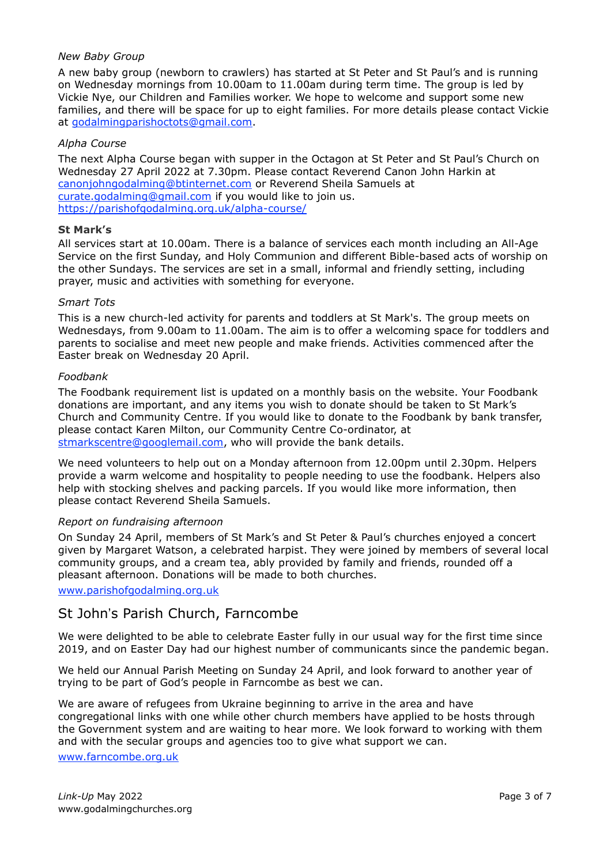#### *New Baby Group*

A new baby group (newborn to crawlers) has started at St Peter and St Paul's and is running on Wednesday mornings from 10.00am to 11.00am during term time. The group is led by Vickie Nye, our Children and Families worker. We hope to welcome and support some new families, and there will be space for up to eight families. For more details please contact Vickie at [godalmingparishoctots@gmail.com.](mailto:godalmingparishoctots@gmail.com)

#### *Alpha Course*

The next Alpha Course began with supper in the Octagon at St Peter and St Paul's Church on Wednesday 27 April 2022 at 7.30pm. Please contact Reverend Canon John Harkin at [canonjohngodalming@btinternet.com](mailto:canonjohngodalming@btinternet.com) or Reverend Sheila Samuels at [curate.godalming@gmail.com](mailto:curate.godalming@gmail.com) if you would like to join us. <https://parishofgodalming.org.uk/alpha-course/>

#### **St Mark's**

All services start at 10.00am. There is a balance of services each month including an All-Age Service on the first Sunday, and Holy Communion and different Bible-based acts of worship on the other Sundays. The services are set in a small, informal and friendly setting, including prayer, music and activities with something for everyone.

#### *Smart Tots*

This is a new church-led activity for parents and toddlers at St Mark's. The group meets on Wednesdays, from 9.00am to 11.00am. The aim is to offer a welcoming space for toddlers and parents to socialise and meet new people and make friends. Activities commenced after the Easter break on Wednesday 20 April.

#### *Foodbank*

The Foodbank requirement list is updated on a monthly basis on the website. Your Foodbank donations are important, and any items you wish to donate should be taken to St Mark's Church and Community Centre. If you would like to donate to the Foodbank by bank transfer, please contact Karen Milton, our Community Centre Co-ordinator, at [stmarkscentre@googlemail.com,](mailto:stmarkscentre@googlemail.com) who will provide the bank details.

We need volunteers to help out on a Monday afternoon from 12.00pm until 2.30pm. Helpers provide a warm welcome and hospitality to people needing to use the foodbank. Helpers also help with stocking shelves and packing parcels. If you would like more information, then please contact Reverend Sheila Samuels.

#### *Report on fundraising afternoon*

On Sunday 24 April, members of St Mark's and St Peter & Paul's churches enjoyed a concert given by Margaret Watson, a celebrated harpist. They were joined by members of several local community groups, and a cream tea, ably provided by family and friends, rounded off a pleasant afternoon. Donations will be made to both churches.

[www.parishofgodalming.org.uk](http://www.parishofgodalming.org.uk/)

### St John's Parish Church, Farncombe

We were delighted to be able to celebrate Easter fully in our usual way for the first time since 2019, and on Easter Day had our highest number of communicants since the pandemic began.

We held our Annual Parish Meeting on Sunday 24 April, and look forward to another year of trying to be part of God's people in Farncombe as best we can.

We are aware of refugees from Ukraine beginning to arrive in the area and have congregational links with one while other church members have applied to be hosts through the Government system and are waiting to hear more. We look forward to working with them and with the secular groups and agencies too to give what support we can.

[www.farncombe.org.uk](http://www.farncombe.org.uk/)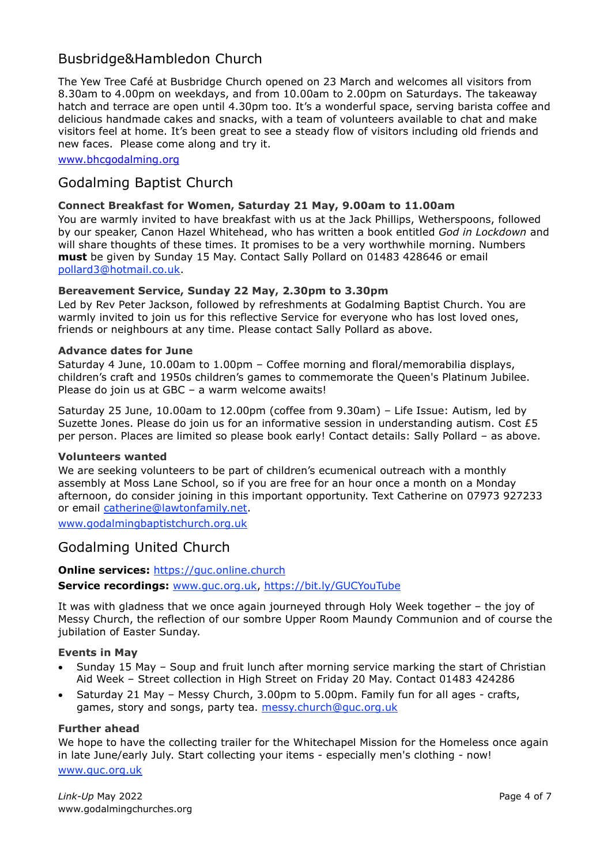# Busbridge&Hambledon Church

The Yew Tree Café at Busbridge Church opened on 23 March and welcomes all visitors from 8.30am to 4.00pm on weekdays, and from 10.00am to 2.00pm on Saturdays. The takeaway hatch and terrace are open until 4.30pm too. It's a wonderful space, serving barista coffee and delicious handmade cakes and snacks, with a team of volunteers available to chat and make visitors feel at home. It's been great to see a steady flow of visitors including old friends and new faces. Please come along and try it.

[www.bhcgodalming.org](http://www.bhcgodalming.org/)

## Godalming Baptist Church

#### **Connect Breakfast for Women, Saturday 21 May, 9.00am to 11.00am**

You are warmly invited to have breakfast with us at the Jack Phillips, Wetherspoons, followed by our speaker, Canon Hazel Whitehead, who has written a book entitled *God in Lockdown* and will share thoughts of these times. It promises to be a very worthwhile morning. Numbers **must** be given by Sunday 15 May. Contact Sally Pollard on 01483 428646 or email [pollard3@hotmail.co.uk.](mailto:pollard3@hotmail.co.uk)

#### **Bereavement Service, Sunday 22 May, 2.30pm to 3.30pm**

Led by Rev Peter Jackson, followed by refreshments at Godalming Baptist Church. You are warmly invited to join us for this reflective Service for everyone who has lost loved ones, friends or neighbours at any time. Please contact Sally Pollard as above.

#### **Advance dates for June**

Saturday 4 June, 10.00am to 1.00pm – Coffee morning and floral/memorabilia displays, children's craft and 1950s children's games to commemorate the Queen's Platinum Jubilee. Please do join us at GBC – a warm welcome awaits!

Saturday 25 June, 10.00am to 12.00pm (coffee from 9.30am) – Life Issue: Autism, led by Suzette Jones. Please do join us for an informative session in understanding autism. Cost  $£5$ per person. Places are limited so please book early! Contact details: Sally Pollard – as above.

#### **Volunteers wanted**

We are seeking volunteers to be part of children's ecumenical outreach with a monthly assembly at Moss Lane School, so if you are free for an hour once a month on a Monday afternoon, do consider joining in this important opportunity. Text Catherine on 07973 927233 or email [catherine@lawtonfamily.net.](mailto:catherine@lawtonfamily.net)

[www.godalmingbaptistchurch.org.uk](http://www.godalmingbaptistchurch.org.uk/)

### Godalming United Church

#### **Online services:** [https://guc.online.church](https://guc.online.church/)

**Service recordings:** [www.guc.org.uk,](http://www.guc.org.uk/) <https://bit.ly/GUCYouTube>

It was with gladness that we once again journeyed through Holy Week together – the joy of Messy Church, the reflection of our sombre Upper Room Maundy Communion and of course the jubilation of Easter Sunday.

#### **Events in May**

- Sunday 15 May Soup and fruit lunch after morning service marking the start of Christian Aid Week – Street collection in High Street on Friday 20 May. Contact 01483 424286
- Saturday 21 May Messy Church, 3.00pm to 5.00pm. Family fun for all ages crafts, games, story and songs, party tea. [messy.church@guc.org.uk](http://messy.church@guc.org.uk)

#### **Further ahead**

We hope to have the collecting trailer for the Whitechapel Mission for the Homeless once again in late June/early July. Start collecting your items - especially men's clothing - now!

[www.guc.org.uk](http://www.guc.org.uk/)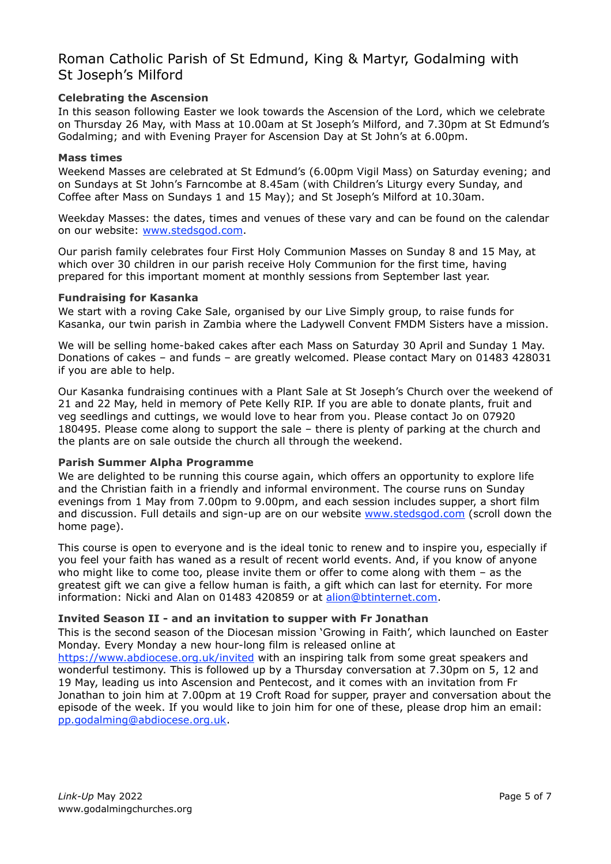## Roman Catholic Parish of St Edmund, King & Martyr, Godalming with St Joseph's Milford

#### **Celebrating the Ascension**

In this season following Easter we look towards the Ascension of the Lord, which we celebrate on Thursday 26 May, with Mass at 10.00am at St Joseph's Milford, and 7.30pm at St Edmund's Godalming; and with Evening Prayer for Ascension Day at St John's at 6.00pm.

#### **Mass times**

Weekend Masses are celebrated at St Edmund's (6.00pm Vigil Mass) on Saturday evening; and on Sundays at St John's Farncombe at 8.45am (with Children's Liturgy every Sunday, and Coffee after Mass on Sundays 1 and 15 May); and St Joseph's Milford at 10.30am.

Weekday Masses: the dates, times and venues of these vary and can be found on the calendar on our website: [www.stedsgod.com.](http://www.stedsgod.com/)

Our parish family celebrates four First Holy Communion Masses on Sunday 8 and 15 May, at which over 30 children in our parish receive Holy Communion for the first time, having prepared for this important moment at monthly sessions from September last year.

#### **Fundraising for Kasanka**

We start with a roving Cake Sale, organised by our Live Simply group, to raise funds for Kasanka, our twin parish in Zambia where the Ladywell Convent FMDM Sisters have a mission.

We will be selling home-baked cakes after each Mass on Saturday 30 April and Sunday 1 May. Donations of cakes – and funds – are greatly welcomed. Please contact Mary on 01483 428031 if you are able to help.

Our Kasanka fundraising continues with a Plant Sale at St Joseph's Church over the weekend of 21 and 22 May, held in memory of Pete Kelly RIP. If you are able to donate plants, fruit and veg seedlings and cuttings, we would love to hear from you. Please contact Jo on 07920 180495. Please come along to support the sale – there is plenty of parking at the church and the plants are on sale outside the church all through the weekend.

#### **Parish Summer Alpha Programme**

We are delighted to be running this course again, which offers an opportunity to explore life and the Christian faith in a friendly and informal environment. The course runs on Sunday evenings from 1 May from 7.00pm to 9.00pm, and each session includes supper, a short film and discussion. Full details and sign-up are on our website [www.stedsgod.com](http://www.stedsgod.com/) (scroll down the home page).

This course is open to everyone and is the ideal tonic to renew and to inspire you, especially if you feel your faith has waned as a result of recent world events. And, if you know of anyone who might like to come too, please invite them or offer to come along with them – as the greatest gift we can give a fellow human is faith, a gift which can last for eternity. For more information: Nicki and Alan on 01483 420859 or at [alion@btinternet.com.](mailto:alion@btinternet.com)

#### **Invited Season II - and an invitation to supper with Fr Jonathan**

This is the second season of the Diocesan mission 'Growing in Faith', which launched on Easter Monday. Every Monday a new hour-long film is released online at

<https://www.abdiocese.org.uk/invited> with an inspiring talk from some great speakers and wonderful testimony. This is followed up by a Thursday conversation at 7.30pm on 5, 12 and 19 May, leading us into Ascension and Pentecost, and it comes with an invitation from Fr Jonathan to join him at 7.00pm at 19 Croft Road for supper, prayer and conversation about the episode of the week. If you would like to join him for one of these, please drop him an email: [pp.godalming@abdiocese.org.uk.](mailto:pp.godalming@abdiocese.org.uk)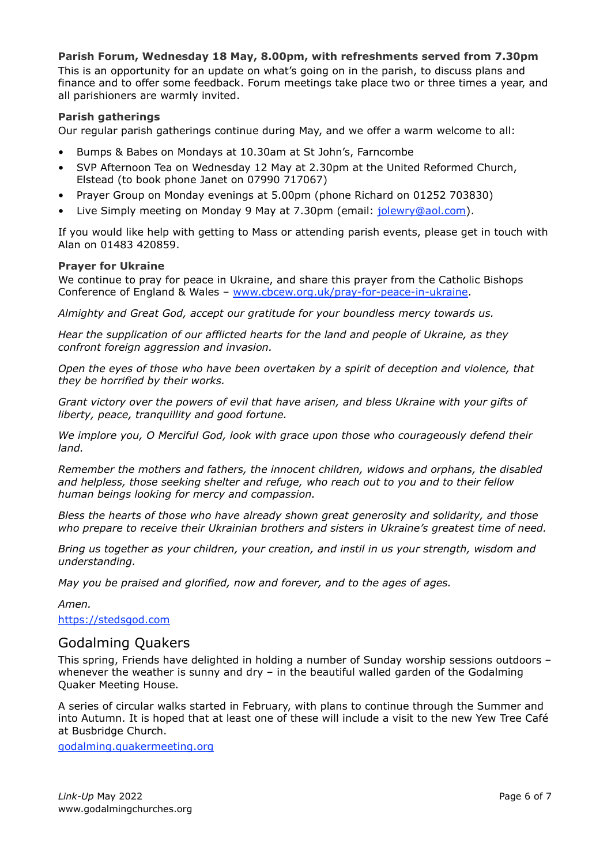#### **Parish Forum, Wednesday 18 May, 8.00pm, with refreshments served from 7.30pm**

This is an opportunity for an update on what's going on in the parish, to discuss plans and finance and to offer some feedback. Forum meetings take place two or three times a year, and all parishioners are warmly invited.

#### **Parish gatherings**

Our regular parish gatherings continue during May, and we offer a warm welcome to all:

- Bumps & Babes on Mondays at 10.30am at St John's, Farncombe
- SVP Afternoon Tea on Wednesday 12 May at 2.30pm at the United Reformed Church, Elstead (to book phone Janet on 07990 717067)
- Prayer Group on Monday evenings at 5.00pm (phone Richard on 01252 703830)
- Live Simply meeting on Monday 9 May at 7.30pm (email: [jolewry@aol.com\)](mailto:jolewry@aol.com).

If you would like help with getting to Mass or attending parish events, please get in touch with Alan on 01483 420859.

#### **Prayer for Ukraine**

We continue to pray for peace in Ukraine, and share this prayer from the Catholic Bishops Conference of England & Wales – [www.cbcew.org.uk/pray-for-peace-in-ukraine.](https://www.cbcew.org.uk/pray-for-peace-in-ukraine/)

*Almighty and Great God, accept our gratitude for your boundless mercy towards us.*

*Hear the supplication of our afflicted hearts for the land and people of Ukraine, as they confront foreign aggression and invasion.*

*Open the eyes of those who have been overtaken by a spirit of deception and violence, that they be horrified by their works.*

*Grant victory over the powers of evil that have arisen, and bless Ukraine with your gifts of liberty, peace, tranquillity and good fortune.*

*We implore you, O Merciful God, look with grace upon those who courageously defend their land.*

*Remember the mothers and fathers, the innocent children, widows and orphans, the disabled and helpless, those seeking shelter and refuge, who reach out to you and to their fellow human beings looking for mercy and compassion.*

*Bless the hearts of those who have already shown great generosity and solidarity, and those who prepare to receive their Ukrainian brothers and sisters in Ukraine's greatest time of need.*

*Bring us together as your children, your creation, and instil in us your strength, wisdom and understanding.*

*May you be praised and glorified, now and forever, and to the ages of ages.*

*Amen.*

[https://stedsgod.com](https://stedsgod.com/)

#### Godalming Quakers

This spring, Friends have delighted in holding a number of Sunday worship sessions outdoors – whenever the weather is sunny and dry - in the beautiful walled garden of the Godalming Quaker Meeting House.

A series of circular walks started in February, with plans to continue through the Summer and into Autumn. It is hoped that at least one of these will include a visit to the new Yew Tree Café at Busbridge Church.

[godalming.quakermeeting.org](https://godalming.quakermeeting.org/)